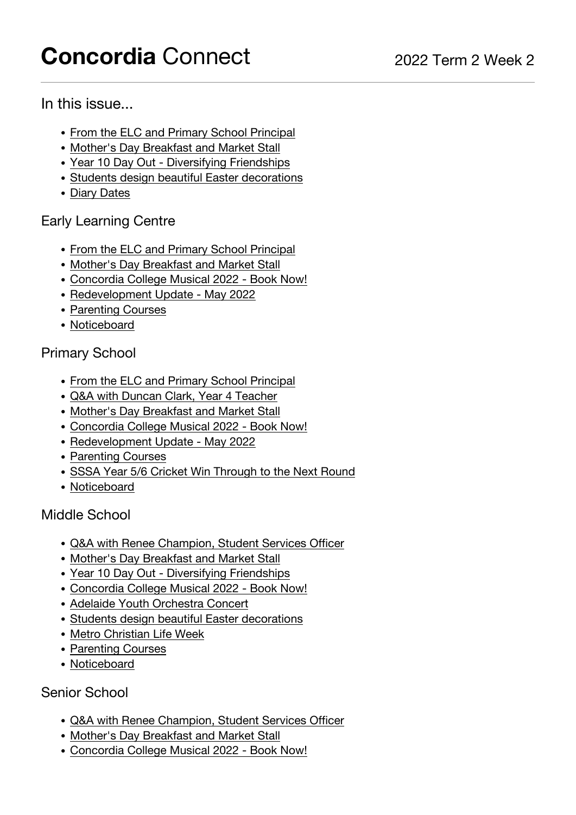# <span id="page-0-0"></span>**Concordia** Connect 2022 Term 2 Week 2

## In this issue...

- [From the ELC and Primary School Principal](#page-1-0)
- [Mother's Day Breakfast and Market Stall](#page-3-0)
- [Year 10 Day Out Diversifying Friendships](#page-4-0)
- [Students design beautiful Easter decorations](#page-7-0)
- [Diary Dates](#page-9-0)

# Early Learning Centre

- [From the ELC and Primary School Principal](#page-1-0)
- [Mother's Day Breakfast and Market Stall](#page-3-0)
- [Concordia College Musical 2022 Book Now!](#page-4-1)
- [Redevelopment Update May 2022](#page-5-0)
- [Parenting Courses](#page-7-1)
- [Noticeboard](#page-9-0)

# Primary School

- [From the ELC and Primary School Principal](#page-1-0)
- [Q&A with Duncan Clark, Year 4 Teacher](#page-1-1)
- [Mother's Day Breakfast and Market Stall](#page-3-0)
- [Concordia College Musical 2022 Book Now!](#page-4-1)
- [Redevelopment Update May 2022](#page-5-0)
- [Parenting Courses](#page-7-1)
- [SSSA Year 5/6 Cricket Win Through to the Next Round](#page-8-0)
- [Noticeboard](#page-9-0)

# Middle School

- [Q&A with Renee Champion, Student Services Officer](#page-2-0)
- [Mother's Day Breakfast and Market Stall](#page-3-0)
- [Year 10 Day Out Diversifying Friendships](#page-4-0)
- [Concordia College Musical 2022 Book Now!](#page-4-1)
- [Adelaide Youth Orchestra Concert](#page-6-0)
- [Students design beautiful Easter decorations](#page-7-0)
- [Metro Christian Life Week](#page-7-2)
- [Parenting Courses](#page-7-1)
- [Noticeboard](#page-9-0)

## Senior School

- [Q&A with Renee Champion, Student Services Officer](#page-2-0)
- [Mother's Day Breakfast and Market Stall](#page-3-0)
- [Concordia College Musical 2022 Book Now!](#page-4-1)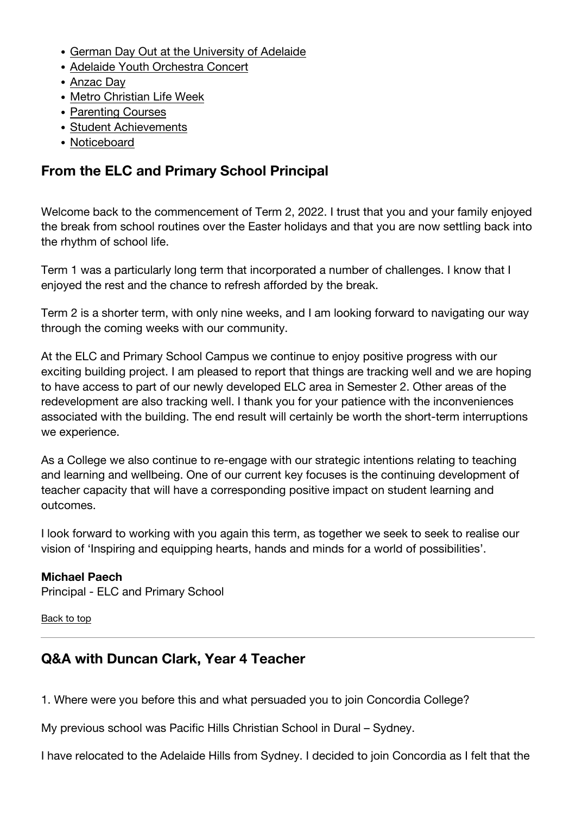- [German Day Out at the University of Adelaide](#page-5-1)
- [Adelaide Youth Orchestra Concert](#page-6-0)
- [Anzac Day](#page-6-1)
- [Metro Christian Life Week](#page-7-2)
- [Parenting Courses](#page-7-1)
- [Student Achievements](#page-8-1)
- [Noticeboard](#page-9-0)

# <span id="page-1-0"></span>**From the ELC and Primary School Principal**

Welcome back to the commencement of Term 2, 2022. I trust that you and your family enjoyed the break from school routines over the Easter holidays and that you are now settling back into the rhythm of school life.

Term 1 was a particularly long term that incorporated a number of challenges. I know that I enjoyed the rest and the chance to refresh afforded by the break.

Term 2 is a shorter term, with only nine weeks, and I am looking forward to navigating our way through the coming weeks with our community.

At the ELC and Primary School Campus we continue to enjoy positive progress with our exciting building project. I am pleased to report that things are tracking well and we are hoping to have access to part of our newly developed ELC area in Semester 2. Other areas of the redevelopment are also tracking well. I thank you for your patience with the inconveniences associated with the building. The end result will certainly be worth the short-term interruptions we experience.

As a College we also continue to re-engage with our strategic intentions relating to teaching and learning and wellbeing. One of our current key focuses is the continuing development of teacher capacity that will have a corresponding positive impact on student learning and outcomes.

I look forward to working with you again this term, as together we seek to seek to realise our vision of 'Inspiring and equipping hearts, hands and minds for a world of possibilities'.

#### **Michael Paech**

Principal - ELC and Primary School

#### [Back to top](#page-0-0)

# <span id="page-1-1"></span>**Q&A with Duncan Clark, Year 4 Teacher**

1. Where were you before this and what persuaded you to join Concordia College?

My previous school was Pacific Hills Christian School in Dural – Sydney.

I have relocated to the Adelaide Hills from Sydney. I decided to join Concordia as I felt that the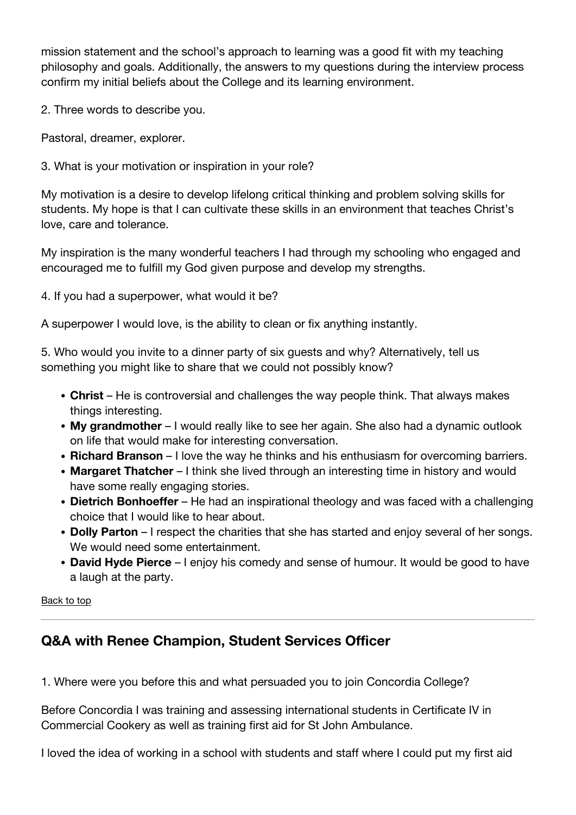mission statement and the school's approach to learning was a good fit with my teaching philosophy and goals. Additionally, the answers to my questions during the interview process confirm my initial beliefs about the College and its learning environment.

2. Three words to describe you.

Pastoral, dreamer, explorer.

3. What is your motivation or inspiration in your role?

My motivation is a desire to develop lifelong critical thinking and problem solving skills for students. My hope is that I can cultivate these skills in an environment that teaches Christ's love, care and tolerance.

My inspiration is the many wonderful teachers I had through my schooling who engaged and encouraged me to fulfill my God given purpose and develop my strengths.

4. If you had a superpower, what would it be?

A superpower I would love, is the ability to clean or fix anything instantly.

5. Who would you invite to a dinner party of six guests and why? Alternatively, tell us something you might like to share that we could not possibly know?

- **Christ**  He is controversial and challenges the way people think. That always makes things interesting.
- **My grandmother** I would really like to see her again. She also had a dynamic outlook on life that would make for interesting conversation.
- **Richard Branson** I love the way he thinks and his enthusiasm for overcoming barriers.
- **Margaret Thatcher** I think she lived through an interesting time in history and would have some really engaging stories.
- **Dietrich Bonhoeffer** He had an inspirational theology and was faced with a challenging choice that I would like to hear about.
- **Dolly Parton** I respect the charities that she has started and enjoy several of her songs. We would need some entertainment.
- **David Hyde Pierce** I enjoy his comedy and sense of humour. It would be good to have a laugh at the party.

[Back to top](#page-0-0)

# <span id="page-2-0"></span>**Q&A with Renee Champion, Student Services Officer**

1. Where were you before this and what persuaded you to join Concordia College?

Before Concordia I was training and assessing international students in Certificate IV in Commercial Cookery as well as training first aid for St John Ambulance.

I loved the idea of working in a school with students and staff where I could put my first aid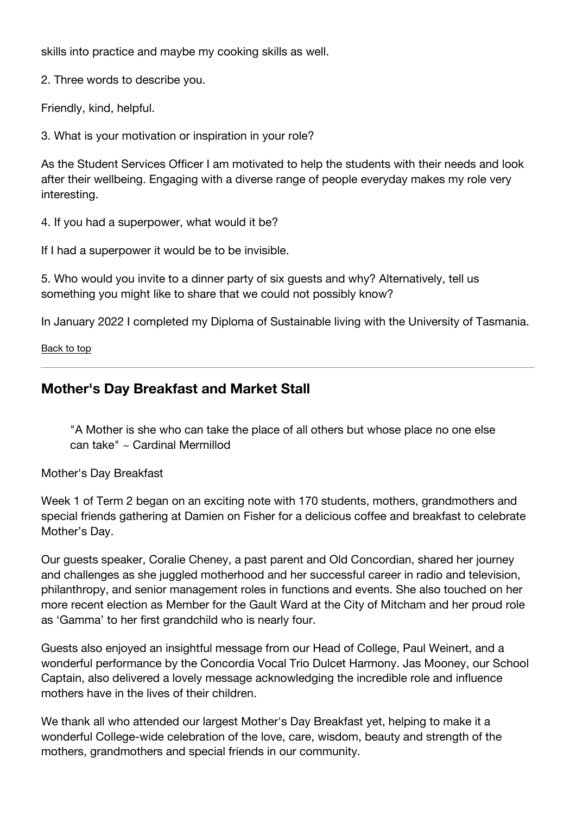skills into practice and maybe my cooking skills as well.

2. Three words to describe you.

Friendly, kind, helpful.

3. What is your motivation or inspiration in your role?

As the Student Services Officer I am motivated to help the students with their needs and look after their wellbeing. Engaging with a diverse range of people everyday makes my role very interesting.

4. If you had a superpower, what would it be?

If I had a superpower it would be to be invisible.

5. Who would you invite to a dinner party of six guests and why? Alternatively, tell us something you might like to share that we could not possibly know?

In January 2022 I completed my Diploma of Sustainable living with the University of Tasmania.

#### [Back to top](#page-0-0)

# <span id="page-3-0"></span>**Mother's Day Breakfast and Market Stall**

"A Mother is she who can take the place of all others but whose place no one else can take" ~ Cardinal Mermillod

Mother's Day Breakfast

Week 1 of Term 2 began on an exciting note with 170 students, mothers, grandmothers and special friends gathering at Damien on Fisher for a delicious coffee and breakfast to celebrate Mother's Day.

Our guests speaker, Coralie Cheney, a past parent and Old Concordian, shared her journey and challenges as she juggled motherhood and her successful career in radio and television, philanthropy, and senior management roles in functions and events. She also touched on her more recent election as Member for the Gault Ward at the City of Mitcham and her proud role as 'Gamma' to her first grandchild who is nearly four.

Guests also enjoyed an insightful message from our Head of College, Paul Weinert, and a wonderful performance by the Concordia Vocal Trio Dulcet Harmony. Jas Mooney, our School Captain, also delivered a lovely message acknowledging the incredible role and influence mothers have in the lives of their children.

We thank all who attended our largest Mother's Day Breakfast yet, helping to make it a wonderful College-wide celebration of the love, care, wisdom, beauty and strength of the mothers, grandmothers and special friends in our community.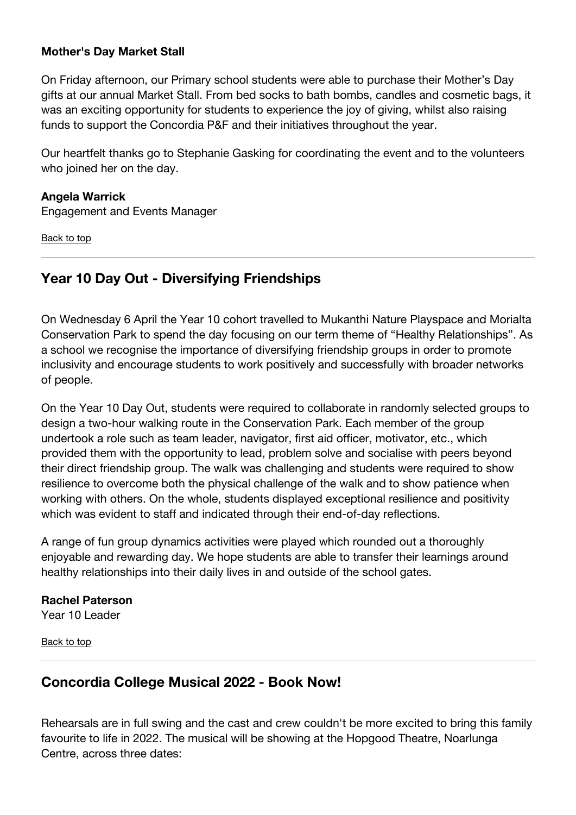#### **Mother's Day Market Stall**

On Friday afternoon, our Primary school students were able to purchase their Mother's Day gifts at our annual Market Stall. From bed socks to bath bombs, candles and cosmetic bags, it was an exciting opportunity for students to experience the joy of giving, whilst also raising funds to support the Concordia P&F and their initiatives throughout the year.

Our heartfelt thanks go to Stephanie Gasking for coordinating the event and to the volunteers who joined her on the day.

#### **Angela Warrick**

Engagement and Events Manager

[Back to top](#page-0-0)

## <span id="page-4-0"></span>**Year 10 Day Out - Diversifying Friendships**

On Wednesday 6 April the Year 10 cohort travelled to Mukanthi Nature Playspace and Morialta Conservation Park to spend the day focusing on our term theme of "Healthy Relationships". As a school we recognise the importance of diversifying friendship groups in order to promote inclusivity and encourage students to work positively and successfully with broader networks of people.

On the Year 10 Day Out, students were required to collaborate in randomly selected groups to design a two-hour walking route in the Conservation Park. Each member of the group undertook a role such as team leader, navigator, first aid officer, motivator, etc., which provided them with the opportunity to lead, problem solve and socialise with peers beyond their direct friendship group. The walk was challenging and students were required to show resilience to overcome both the physical challenge of the walk and to show patience when working with others. On the whole, students displayed exceptional resilience and positivity which was evident to staff and indicated through their end-of-day reflections.

A range of fun group dynamics activities were played which rounded out a thoroughly enjoyable and rewarding day. We hope students are able to transfer their learnings around healthy relationships into their daily lives in and outside of the school gates.

#### **Rachel Paterson**

Year 10 Leader

[Back to top](#page-0-0)

#### <span id="page-4-1"></span>**Concordia College Musical 2022 - Book Now!**

Rehearsals are in full swing and the cast and crew couldn't be more excited to bring this family favourite to life in 2022. The musical will be showing at the Hopgood Theatre, Noarlunga Centre, across three dates: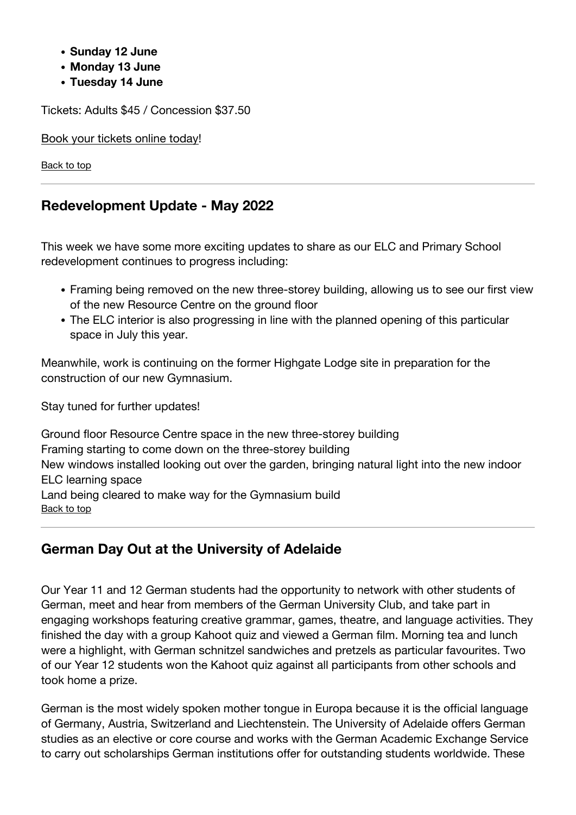- **Sunday 12 June**
- **Monday 13 June**
- **Tuesday 14 June**

Tickets: Adults \$45 / Concession \$37.50

[Book your tickets online today](https://hopgood.countryarts.org.au/event/3191:17596/)!

[Back to top](#page-0-0)

## <span id="page-5-0"></span>**Redevelopment Update - May 2022**

This week we have some more exciting updates to share as our ELC and Primary School redevelopment continues to progress including:

- Framing being removed on the new three-storey building, allowing us to see our first view of the new Resource Centre on the ground floor
- The ELC interior is also progressing in line with the planned opening of this particular space in July this year.

Meanwhile, work is continuing on the former Highgate Lodge site in preparation for the construction of our new Gymnasium.

Stay tuned for further updates!

Ground floor Resource Centre space in the new three-storey building Framing starting to come down on the three-storey building New windows installed looking out over the garden, bringing natural light into the new indoor ELC learning space Land being cleared to make way for the Gymnasium build [Back to top](#page-0-0)

# <span id="page-5-1"></span>**German Day Out at the University of Adelaide**

Our Year 11 and 12 German students had the opportunity to network with other students of German, meet and hear from members of the German University Club, and take part in engaging workshops featuring creative grammar, games, theatre, and language activities. They finished the day with a group Kahoot quiz and viewed a German film. Morning tea and lunch were a highlight, with German schnitzel sandwiches and pretzels as particular favourites. Two of our Year 12 students won the Kahoot quiz against all participants from other schools and took home a prize.

German is the most widely spoken mother tongue in Europa because it is the official language of Germany, Austria, Switzerland and Liechtenstein. The University of Adelaide offers German studies as an elective or core course and works with the German Academic Exchange Service to carry out scholarships German institutions offer for outstanding students worldwide. These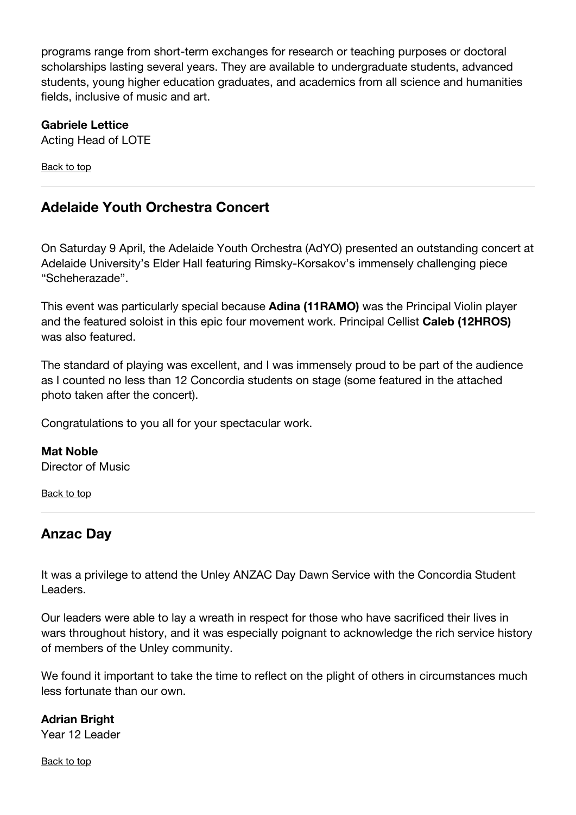programs range from short-term exchanges for research or teaching purposes or doctoral scholarships lasting several years. They are available to undergraduate students, advanced students, young higher education graduates, and academics from all science and humanities fields, inclusive of music and art.

### **Gabriele Lettice**

Acting Head of LOTE

[Back to top](#page-0-0)

# <span id="page-6-0"></span>**Adelaide Youth Orchestra Concert**

On Saturday 9 April, the Adelaide Youth Orchestra (AdYO) presented an outstanding concert at Adelaide University's Elder Hall featuring Rimsky-Korsakov's immensely challenging piece "Scheherazade".

This event was particularly special because **Adina (11RAMO)** was the Principal Violin player and the featured soloist in this epic four movement work. Principal Cellist **Caleb (12HROS)** was also featured.

The standard of playing was excellent, and I was immensely proud to be part of the audience as I counted no less than 12 Concordia students on stage (some featured in the attached photo taken after the concert).

Congratulations to you all for your spectacular work.

#### **Mat Noble** Director of Music

[Back to top](#page-0-0)

# <span id="page-6-1"></span>**Anzac Day**

It was a privilege to attend the Unley ANZAC Day Dawn Service with the Concordia Student Leaders.

Our leaders were able to lay a wreath in respect for those who have sacrificed their lives in wars throughout history, and it was especially poignant to acknowledge the rich service history of members of the Unley community.

We found it important to take the time to reflect on the plight of others in circumstances much less fortunate than our own.

#### **Adrian Bright**

Year 12 Leader

[Back to top](#page-0-0)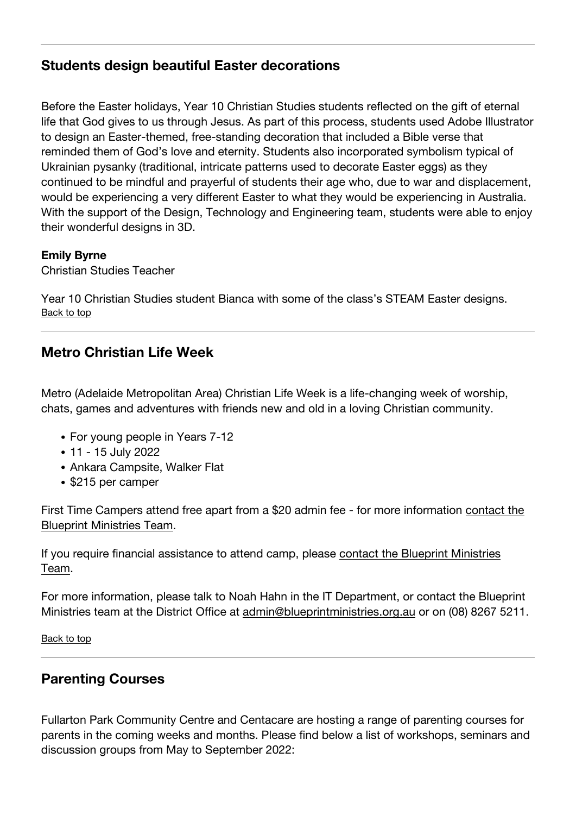## <span id="page-7-0"></span>**Students design beautiful Easter decorations**

Before the Easter holidays, Year 10 Christian Studies students reflected on the gift of eternal life that God gives to us through Jesus. As part of this process, students used Adobe Illustrator to design an Easter-themed, free-standing decoration that included a Bible verse that reminded them of God's love and eternity. Students also incorporated symbolism typical of Ukrainian pysanky (traditional, intricate patterns used to decorate Easter eggs) as they continued to be mindful and prayerful of students their age who, due to war and displacement, would be experiencing a very different Easter to what they would be experiencing in Australia. With the support of the Design, Technology and Engineering team, students were able to enjoy their wonderful designs in 3D.

#### **Emily Byrne**

Christian Studies Teacher

Year 10 Christian Studies student Bianca with some of the class's STEAM Easter designs. [Back to top](#page-0-0)

# <span id="page-7-2"></span>**Metro Christian Life Week**

Metro (Adelaide Metropolitan Area) Christian Life Week is a life-changing week of worship, chats, games and adventures with friends new and old in a loving Christian community.

- For young people in Years 7-12
- 11 15 July 2022
- Ankara Campsite, Walker Flat
- \$215 per camper

First Time Campers attend free apart from a \$20 admin fee - for more information [contact the](mailto:admin@blueprintministries.org.au) [Blueprint Ministries Team.](mailto:admin@blueprintministries.org.au)

If you require financial assistance to attend camp, please [contact the Blueprint Ministries](mailto:admin@blueprintministries.org.au) [Team.](mailto:admin@blueprintministries.org.au)

For more information, please talk to Noah Hahn in the IT Department, or contact the Blueprint Ministries team at the District Office at [admin@blueprintministries.org.au](mailto:admin@blueprintministries.org.au) or on (08) 8267 5211.

[Back to top](#page-0-0)

## <span id="page-7-1"></span>**Parenting Courses**

Fullarton Park Community Centre and Centacare are hosting a range of parenting courses for parents in the coming weeks and months. Please find below a list of workshops, seminars and discussion groups from May to September 2022: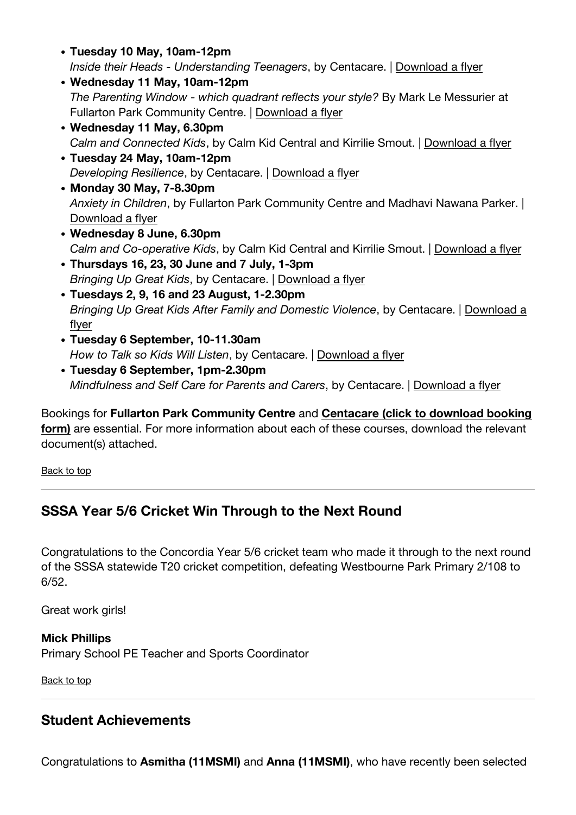- **Tuesday 10 May, 10am-12pm** Inside their Heads - Understanding Teenagers, by Centacare. | [Download a flyer](https://www.concordia.sa.edu.au/uploads/Parent-Lounge/Resources/Parenting/Inside-Their-Heads-May-2022.pdf)
- **Wednesday 11 May, 10am-12pm** The Parenting Window - which quadrant reflects your style? By Mark Le Messurier at Fullarton Park Community Centre. | [Download a flyer](https://www.concordia.sa.edu.au/uploads/Parent-Lounge/Resources/Parenting/11-May-2022-The-PARENTING-WINDOW-which-QUADRANT-reflects-your-style.pdf)
- **Wednesday 11 May, 6.30pm** Calm and Connected Kids, by Calm Kid Central and Kirrilie Smout. | [Download a flyer](https://www.concordia.sa.edu.au/uploads/Parent-Lounge/Resources/Parenting/Parent-Webinars-2022-flier-APHN.pdf)
- **Tuesday 24 May, 10am-12pm** Developing Resilience, by Centacare. | [Download a flyer](https://www.concordia.sa.edu.au/uploads/Parent-Lounge/Resources/Parenting/Developing-Resilience-May-2022.pdf)
- **Monday 30 May, 7-8.30pm** Anxiety in Children, by Fullarton Park Community Centre and Madhavi Nawana Parker. | [Download a flyer](https://www.concordia.sa.edu.au/uploads/Parent-Lounge/Resources/Parenting/Anxiety-in-Children-30-May-2022.pdf)
- **Wednesday 8 June, 6.30pm** Calm and Co-operative Kids, by Calm Kid Central and Kirrilie Smout. | [Download a flyer](https://www.concordia.sa.edu.au/uploads/Parent-Lounge/Resources/Parenting/Parent-Webinars-2022-flier-APHN.pdf)
- **Thursdays 16, 23, 30 June and 7 July, 1-3pm** Bringing Up Great Kids, by Centacare. | [Download a flyer](https://www.concordia.sa.edu.au/uploads/Newsletters/2022/T2W2/Bringing-Up-Great-Kids-Lockleys-2022.pdf)
- **Tuesdays 2, 9, 16 and 23 August, 1-2.30pm** Bringing Up Great Kids After Family and Domestic Violence, by Centacare. | [Download a](https://www.concordia.sa.edu.au/uploads/Parent-Lounge/Resources/Parenting/Bringing-Up-Great-Kids-FV-August-2022.pdf) [flyer](https://www.concordia.sa.edu.au/uploads/Parent-Lounge/Resources/Parenting/Bringing-Up-Great-Kids-FV-August-2022.pdf)
- **Tuesday 6 September, 10-11.30am** How to Talk so Kids Will Listen, by Centacare. | [Download a flyer](https://www.concordia.sa.edu.au/uploads/Parent-Lounge/Resources/Parenting/How-to-Talk-so-Kids-Will-Listen-ST-AUGUSTINES-2022.pdf)
- **Tuesday 6 September, 1pm-2.30pm** Mindfulness and Self Care for Parents and Carers, by Centacare. | [Download a flyer](https://www.concordia.sa.edu.au/uploads/Parent-Lounge/Resources/Parenting/Mindfulness-Self-Care-ST-AUGUSTINES-2022.pdf)

Bookings for **Fullarton Park Community Centre** and **[Centacare \(click to download booking](https://www.concordia.sa.edu.au/uploads/Parent-Lounge/Resources/Parenting/Parenting-Registration-Form.pdf) [form\)](https://www.concordia.sa.edu.au/uploads/Parent-Lounge/Resources/Parenting/Parenting-Registration-Form.pdf)** are essential. For more information about each of these courses, download the relevant document(s) attached.

[Back to top](#page-0-0)

# <span id="page-8-0"></span>**SSSA Year 5/6 Cricket Win Through to the Next Round**

Congratulations to the Concordia Year 5/6 cricket team who made it through to the next round of the SSSA statewide T20 cricket competition, defeating Westbourne Park Primary 2/108 to 6/52.

Great work girls!

**Mick Phillips** Primary School PE Teacher and Sports Coordinator

[Back to top](#page-0-0)

# <span id="page-8-1"></span>**Student Achievements**

Congratulations to **Asmitha (11MSMI)** and **Anna (11MSMI)**, who have recently been selected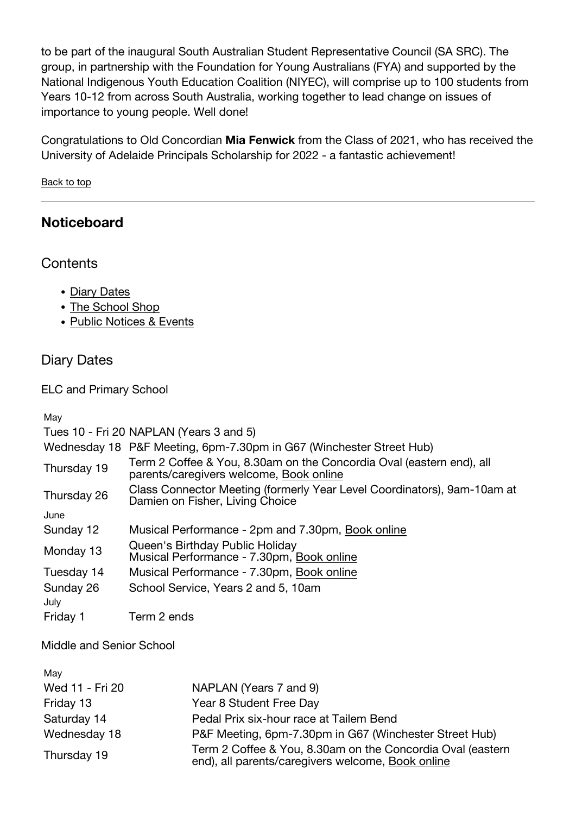to be part of the inaugural South Australian Student Representative Council (SA SRC). The group, in partnership with the Foundation for Young Australians (FYA) and supported by the National Indigenous Youth Education Coalition (NIYEC), will comprise up to 100 students from Years 10-12 from across South Australia, working together to lead change on issues of importance to young people. Well done!

Congratulations to Old Concordian **Mia Fenwick** from the Class of 2021, who has received the University of Adelaide Principals Scholarship for 2022 - a fantastic achievement!

[Back to top](#page-0-0)

# <span id="page-9-0"></span>**Noticeboard**

**Contents** 

- [Diary Dates](#page--1-0)
- [The School Shop](#page--1-0)
- [Public Notices & Events](#page--1-0)

## Diary Dates

ELC and Primary School

May

|                   | Tues 10 - Fri 20 NAPLAN (Years 3 and 5)                                                                         |
|-------------------|-----------------------------------------------------------------------------------------------------------------|
|                   | Wednesday 18 P&F Meeting, 6pm-7.30pm in G67 (Winchester Street Hub)                                             |
| Thursday 19       | Term 2 Coffee & You, 8.30am on the Concordia Oval (eastern end), all<br>parents/caregivers welcome, Book online |
| Thursday 26       | Class Connector Meeting (formerly Year Level Coordinators), 9am-10am at<br>Damien on Fisher, Living Choice      |
| June              |                                                                                                                 |
| Sunday 12         | Musical Performance - 2pm and 7.30pm, Book online                                                               |
| Monday 13         | Queen's Birthday Public Holiday<br>Musical Performance - 7.30pm, Book online                                    |
| Tuesday 14        | Musical Performance - 7.30pm, Book online                                                                       |
| Sunday 26<br>July | School Service, Years 2 and 5, 10am                                                                             |
| Friday 1          | Term 2 ends                                                                                                     |

Middle and Senior School

| May             |                                                                                                                 |
|-----------------|-----------------------------------------------------------------------------------------------------------------|
| Wed 11 - Fri 20 | NAPLAN (Years 7 and 9)                                                                                          |
| Friday 13       | Year 8 Student Free Day                                                                                         |
| Saturday 14     | Pedal Prix six-hour race at Tailem Bend                                                                         |
| Wednesday 18    | P&F Meeting, 6pm-7.30pm in G67 (Winchester Street Hub)                                                          |
| Thursday 19     | Term 2 Coffee & You, 8.30am on the Concordia Oval (eastern<br>end), all parents/caregivers welcome, Book online |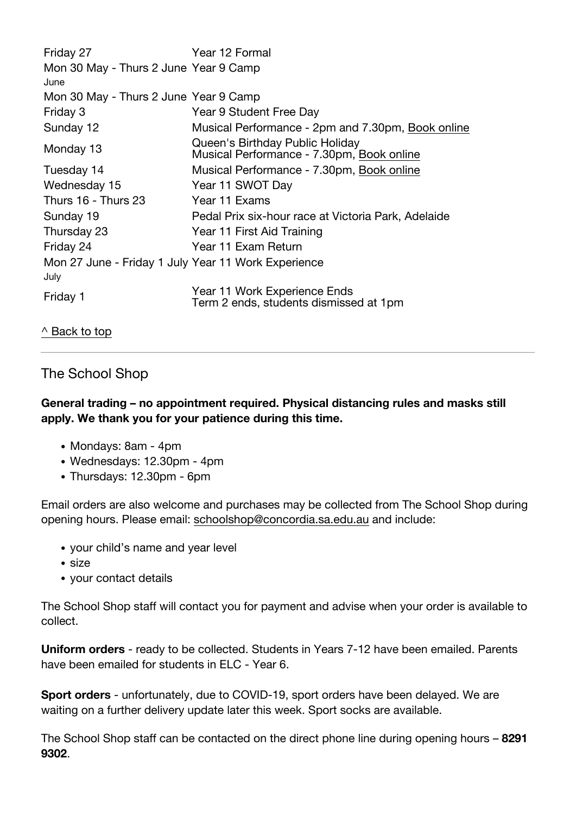| Friday 27                                                   | Year 12 Formal                                                               |
|-------------------------------------------------------------|------------------------------------------------------------------------------|
| Mon 30 May - Thurs 2 June Year 9 Camp<br>June               |                                                                              |
| Mon 30 May - Thurs 2 June Year 9 Camp                       |                                                                              |
| Friday 3                                                    | Year 9 Student Free Day                                                      |
| Sunday 12                                                   | Musical Performance - 2pm and 7.30pm, Book online                            |
| Monday 13                                                   | Queen's Birthday Public Holiday<br>Musical Performance - 7.30pm, Book online |
| Tuesday 14                                                  | Musical Performance - 7.30pm, Book online                                    |
| Wednesday 15                                                | Year 11 SWOT Day                                                             |
| Thurs 16 - Thurs 23                                         | Year 11 Exams                                                                |
| Sunday 19                                                   | Pedal Prix six-hour race at Victoria Park, Adelaide                          |
| Thursday 23                                                 | Year 11 First Aid Training                                                   |
| Friday 24                                                   | Year 11 Exam Return                                                          |
| Mon 27 June - Friday 1 July Year 11 Work Experience<br>July |                                                                              |
| Friday 1                                                    | Year 11 Work Experience Ends<br>Term 2 ends, students dismissed at 1pm       |

#### [^ Back to top](#page--1-0)

## The School Shop

#### **General trading – no appointment required. Physical distancing rules and masks still apply. We thank you for your patience during this time.**

- Mondays: 8am 4pm
- Wednesdays: 12.30pm 4pm
- Thursdays: 12.30pm 6pm

Email orders are also welcome and purchases may be collected from The School Shop during opening hours. Please email: [schoolshop@concordia.sa.edu.au](mailto:schoolshop@concordia.sa.edu.au) and include:

- your child's name and year level
- size
- your contact details

The School Shop staff will contact you for payment and advise when your order is available to collect.

**Uniform orders** - ready to be collected. Students in Years 7-12 have been emailed. Parents have been emailed for students in FLC - Year 6.

**Sport orders** - unfortunately, due to COVID-19, sport orders have been delayed. We are waiting on a further delivery update later this week. Sport socks are available.

The School Shop staff can be contacted on the direct phone line during opening hours – **8291 9302**.